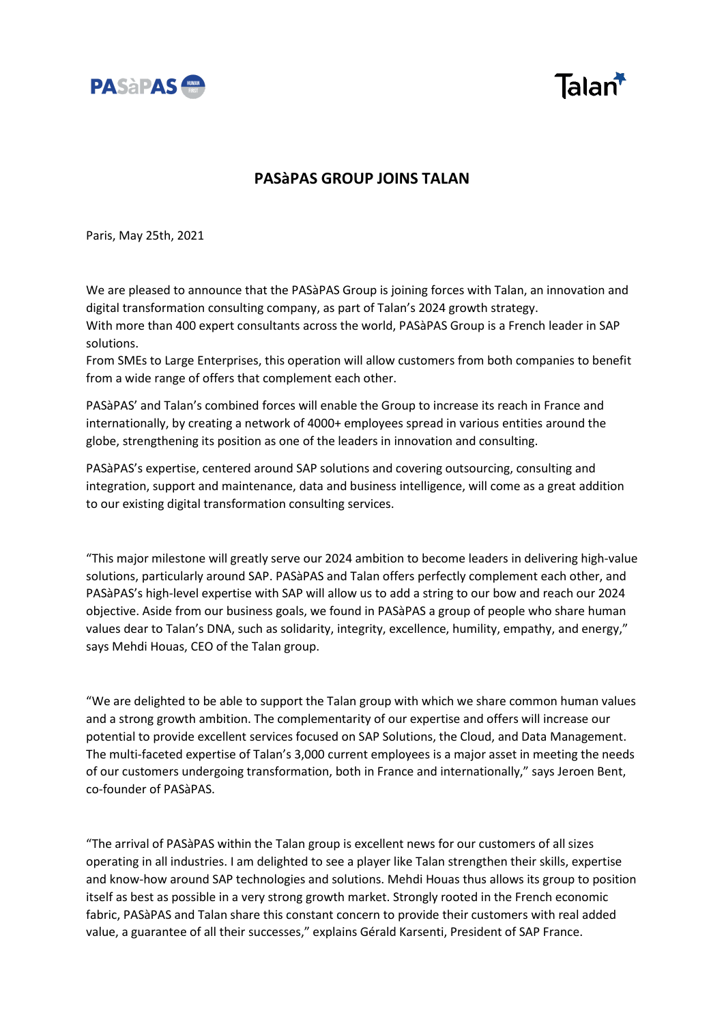



## **PASàPAS GROUP JOINS TALAN**

Paris, May 25th, 2021

We are pleased to announce that the PASàPAS Group is joining forces with Talan, an innovation and digital transformation consulting company, as part of Talan's 2024 growth strategy.

With more than 400 expert consultants across the world, PASàPAS Group is a French leader in SAP solutions.

From SMEs to Large Enterprises, this operation will allow customers from both companies to benefit from a wide range of offers that complement each other.

PASàPAS' and Talan's combined forces will enable the Group to increase its reach in France and internationally, by creating a network of 4000+ employees spread in various entities around the globe, strengthening its position as one of the leaders in innovation and consulting.

PASàPAS's expertise, centered around SAP solutions and covering outsourcing, consulting and integration, support and maintenance, data and business intelligence, will come as a great addition to our existing digital transformation consulting services.

"This major milestone will greatly serve our 2024 ambition to become leaders in delivering high-value solutions, particularly around SAP. PASàPAS and Talan offers perfectly complement each other, and PASàPAS's high-level expertise with SAP will allow us to add a string to our bow and reach our 2024 objective. Aside from our business goals, we found in PASàPAS a group of people who share human values dear to Talan's DNA, such as solidarity, integrity, excellence, humility, empathy, and energy," says Mehdi Houas, CEO of the Talan group.

"We are delighted to be able to support the Talan group with which we share common human values and a strong growth ambition. The complementarity of our expertise and offers will increase our potential to provide excellent services focused on SAP Solutions, the Cloud, and Data Management. The multi-faceted expertise of Talan's 3,000 current employees is a major asset in meeting the needs of our customers undergoing transformation, both in France and internationally," says Jeroen Bent, co-founder of PASàPAS.

"The arrival of PASàPAS within the Talan group is excellent news for our customers of all sizes operating in all industries. I am delighted to see a player like Talan strengthen their skills, expertise and know-how around SAP technologies and solutions. Mehdi Houas thus allows its group to position itself as best as possible in a very strong growth market. Strongly rooted in the French economic fabric, PASàPAS and Talan share this constant concern to provide their customers with real added value, a guarantee of all their successes," explains Gérald Karsenti, President of SAP France.